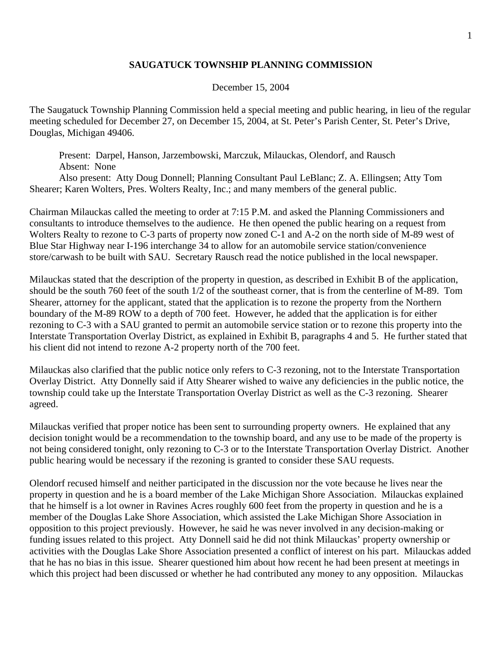## **SAUGATUCK TOWNSHIP PLANNING COMMISSION**

### December 15, 2004

The Saugatuck Township Planning Commission held a special meeting and public hearing, in lieu of the regular meeting scheduled for December 27, on December 15, 2004, at St. Peter's Parish Center, St. Peter's Drive, Douglas, Michigan 49406.

 Present: Darpel, Hanson, Jarzembowski, Marczuk, Milauckas, Olendorf, and Rausch Absent: None

 Also present: Atty Doug Donnell; Planning Consultant Paul LeBlanc; Z. A. Ellingsen; Atty Tom Shearer; Karen Wolters, Pres. Wolters Realty, Inc.; and many members of the general public.

Chairman Milauckas called the meeting to order at 7:15 P.M. and asked the Planning Commissioners and consultants to introduce themselves to the audience. He then opened the public hearing on a request from Wolters Realty to rezone to C-3 parts of property now zoned C-1 and A-2 on the north side of M-89 west of Blue Star Highway near I-196 interchange 34 to allow for an automobile service station/convenience store/carwash to be built with SAU. Secretary Rausch read the notice published in the local newspaper.

Milauckas stated that the description of the property in question, as described in Exhibit B of the application, should be the south 760 feet of the south 1/2 of the southeast corner, that is from the centerline of M-89. Tom Shearer, attorney for the applicant, stated that the application is to rezone the property from the Northern boundary of the M-89 ROW to a depth of 700 feet. However, he added that the application is for either rezoning to C-3 with a SAU granted to permit an automobile service station or to rezone this property into the Interstate Transportation Overlay District, as explained in Exhibit B, paragraphs 4 and 5. He further stated that his client did not intend to rezone A-2 property north of the 700 feet.

Milauckas also clarified that the public notice only refers to C-3 rezoning, not to the Interstate Transportation Overlay District. Atty Donnelly said if Atty Shearer wished to waive any deficiencies in the public notice, the township could take up the Interstate Transportation Overlay District as well as the C-3 rezoning. Shearer agreed.

Milauckas verified that proper notice has been sent to surrounding property owners. He explained that any decision tonight would be a recommendation to the township board, and any use to be made of the property is not being considered tonight, only rezoning to C-3 or to the Interstate Transportation Overlay District. Another public hearing would be necessary if the rezoning is granted to consider these SAU requests.

Olendorf recused himself and neither participated in the discussion nor the vote because he lives near the property in question and he is a board member of the Lake Michigan Shore Association. Milauckas explained that he himself is a lot owner in Ravines Acres roughly 600 feet from the property in question and he is a member of the Douglas Lake Shore Association, which assisted the Lake Michigan Shore Association in opposition to this project previously. However, he said he was never involved in any decision-making or funding issues related to this project. Atty Donnell said he did not think Milauckas' property ownership or activities with the Douglas Lake Shore Association presented a conflict of interest on his part. Milauckas added that he has no bias in this issue. Shearer questioned him about how recent he had been present at meetings in which this project had been discussed or whether he had contributed any money to any opposition. Milauckas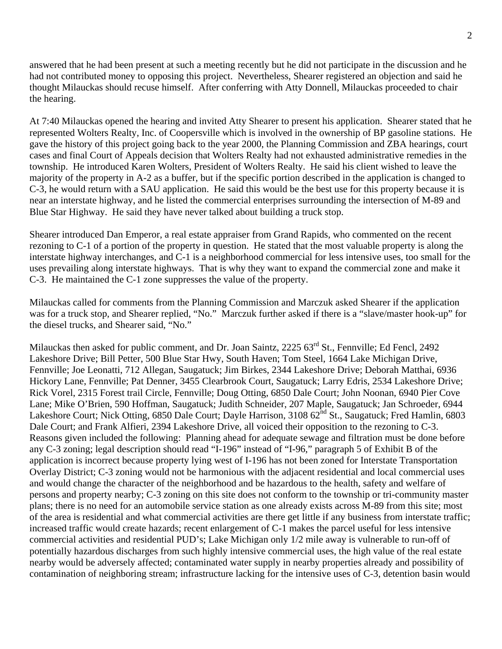answered that he had been present at such a meeting recently but he did not participate in the discussion and he had not contributed money to opposing this project. Nevertheless, Shearer registered an objection and said he thought Milauckas should recuse himself. After conferring with Atty Donnell, Milauckas proceeded to chair the hearing.

At 7:40 Milauckas opened the hearing and invited Atty Shearer to present his application. Shearer stated that he represented Wolters Realty, Inc. of Coopersville which is involved in the ownership of BP gasoline stations. He gave the history of this project going back to the year 2000, the Planning Commission and ZBA hearings, court cases and final Court of Appeals decision that Wolters Realty had not exhausted administrative remedies in the township. He introduced Karen Wolters, President of Wolters Realty. He said his client wished to leave the majority of the property in A-2 as a buffer, but if the specific portion described in the application is changed to C-3, he would return with a SAU application. He said this would be the best use for this property because it is near an interstate highway, and he listed the commercial enterprises surrounding the intersection of M-89 and Blue Star Highway. He said they have never talked about building a truck stop.

Shearer introduced Dan Emperor, a real estate appraiser from Grand Rapids, who commented on the recent rezoning to C-1 of a portion of the property in question. He stated that the most valuable property is along the interstate highway interchanges, and C-1 is a neighborhood commercial for less intensive uses, too small for the uses prevailing along interstate highways. That is why they want to expand the commercial zone and make it C-3. He maintained the C-1 zone suppresses the value of the property.

Milauckas called for comments from the Planning Commission and Marczuk asked Shearer if the application was for a truck stop, and Shearer replied, "No." Marczuk further asked if there is a "slave/master hook-up" for the diesel trucks, and Shearer said, "No."

Milauckas then asked for public comment, and Dr. Joan Saintz, 2225 63<sup>rd</sup> St., Fennville; Ed Fencl, 2492 Lakeshore Drive; Bill Petter, 500 Blue Star Hwy, South Haven; Tom Steel, 1664 Lake Michigan Drive, Fennville; Joe Leonatti, 712 Allegan, Saugatuck; Jim Birkes, 2344 Lakeshore Drive; Deborah Matthai, 6936 Hickory Lane, Fennville; Pat Denner, 3455 Clearbrook Court, Saugatuck; Larry Edris, 2534 Lakeshore Drive; Rick Vorel, 2315 Forest trail Circle, Fennville; Doug Otting, 6850 Dale Court; John Noonan, 6940 Pier Cove Lane; Mike O'Brien, 590 Hoffman, Saugatuck; Judith Schneider, 207 Maple, Saugatuck; Jan Schroeder, 6944 Lakeshore Court; Nick Otting, 6850 Dale Court; Dayle Harrison, 3108 62<sup>nd</sup> St., Saugatuck; Fred Hamlin, 6803 Dale Court; and Frank Alfieri, 2394 Lakeshore Drive, all voiced their opposition to the rezoning to C-3. Reasons given included the following: Planning ahead for adequate sewage and filtration must be done before any C-3 zoning; legal description should read "I-196" instead of "I-96," paragraph 5 of Exhibit B of the application is incorrect because property lying west of I-196 has not been zoned for Interstate Transportation Overlay District; C-3 zoning would not be harmonious with the adjacent residential and local commercial uses and would change the character of the neighborhood and be hazardous to the health, safety and welfare of persons and property nearby; C-3 zoning on this site does not conform to the township or tri-community master plans; there is no need for an automobile service station as one already exists across M-89 from this site; most of the area is residential and what commercial activities are there get little if any business from interstate traffic; increased traffic would create hazards; recent enlargement of C-1 makes the parcel useful for less intensive commercial activities and residential PUD's; Lake Michigan only 1/2 mile away is vulnerable to run-off of potentially hazardous discharges from such highly intensive commercial uses, the high value of the real estate nearby would be adversely affected; contaminated water supply in nearby properties already and possibility of contamination of neighboring stream; infrastructure lacking for the intensive uses of C-3, detention basin would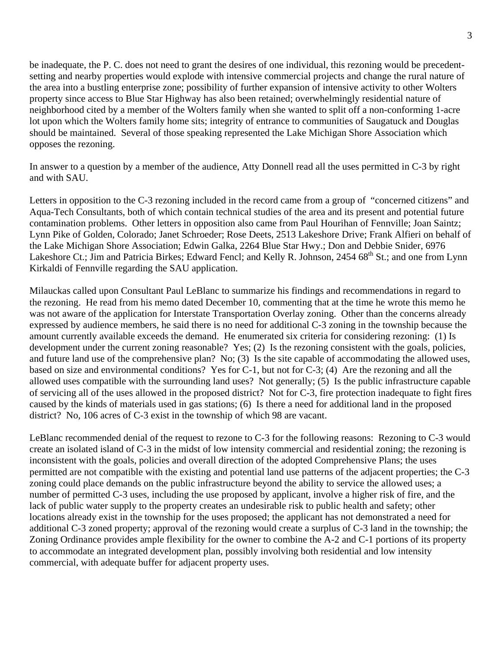be inadequate, the P. C. does not need to grant the desires of one individual, this rezoning would be precedentsetting and nearby properties would explode with intensive commercial projects and change the rural nature of the area into a bustling enterprise zone; possibility of further expansion of intensive activity to other Wolters property since access to Blue Star Highway has also been retained; overwhelmingly residential nature of neighborhood cited by a member of the Wolters family when she wanted to split off a non-conforming 1-acre lot upon which the Wolters family home sits; integrity of entrance to communities of Saugatuck and Douglas should be maintained. Several of those speaking represented the Lake Michigan Shore Association which opposes the rezoning.

In answer to a question by a member of the audience, Atty Donnell read all the uses permitted in C-3 by right and with SAU.

Letters in opposition to the C-3 rezoning included in the record came from a group of "concerned citizens" and Aqua-Tech Consultants, both of which contain technical studies of the area and its present and potential future contamination problems. Other letters in opposition also came from Paul Hourihan of Fennville; Joan Saintz; Lynn Pike of Golden, Colorado; Janet Schroeder; Rose Deets, 2513 Lakeshore Drive; Frank Alfieri on behalf of the Lake Michigan Shore Association; Edwin Galka, 2264 Blue Star Hwy.; Don and Debbie Snider, 6976 Lakeshore Ct.; Jim and Patricia Birkes; Edward Fencl; and Kelly R. Johnson, 2454 68<sup>th</sup> St.; and one from Lynn Kirkaldi of Fennville regarding the SAU application.

Milauckas called upon Consultant Paul LeBlanc to summarize his findings and recommendations in regard to the rezoning. He read from his memo dated December 10, commenting that at the time he wrote this memo he was not aware of the application for Interstate Transportation Overlay zoning. Other than the concerns already expressed by audience members, he said there is no need for additional C-3 zoning in the township because the amount currently available exceeds the demand. He enumerated six criteria for considering rezoning: (1) Is development under the current zoning reasonable? Yes; (2) Is the rezoning consistent with the goals, policies, and future land use of the comprehensive plan? No; (3) Is the site capable of accommodating the allowed uses, based on size and environmental conditions? Yes for C-1, but not for C-3; (4) Are the rezoning and all the allowed uses compatible with the surrounding land uses? Not generally; (5) Is the public infrastructure capable of servicing all of the uses allowed in the proposed district? Not for C-3, fire protection inadequate to fight fires caused by the kinds of materials used in gas stations; (6) Is there a need for additional land in the proposed district? No, 106 acres of C-3 exist in the township of which 98 are vacant.

LeBlanc recommended denial of the request to rezone to C-3 for the following reasons: Rezoning to C-3 would create an isolated island of C-3 in the midst of low intensity commercial and residential zoning; the rezoning is inconsistent with the goals, policies and overall direction of the adopted Comprehensive Plans; the uses permitted are not compatible with the existing and potential land use patterns of the adjacent properties; the C-3 zoning could place demands on the public infrastructure beyond the ability to service the allowed uses; a number of permitted C-3 uses, including the use proposed by applicant, involve a higher risk of fire, and the lack of public water supply to the property creates an undesirable risk to public health and safety; other locations already exist in the township for the uses proposed; the applicant has not demonstrated a need for additional C-3 zoned property; approval of the rezoning would create a surplus of C-3 land in the township; the Zoning Ordinance provides ample flexibility for the owner to combine the A-2 and C-1 portions of its property to accommodate an integrated development plan, possibly involving both residential and low intensity commercial, with adequate buffer for adjacent property uses.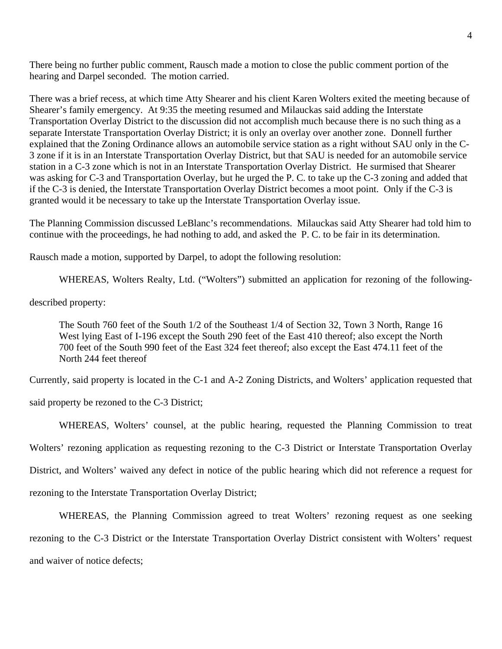There being no further public comment, Rausch made a motion to close the public comment portion of the hearing and Darpel seconded. The motion carried.

There was a brief recess, at which time Atty Shearer and his client Karen Wolters exited the meeting because of Shearer's family emergency. At 9:35 the meeting resumed and Milauckas said adding the Interstate Transportation Overlay District to the discussion did not accomplish much because there is no such thing as a separate Interstate Transportation Overlay District; it is only an overlay over another zone. Donnell further explained that the Zoning Ordinance allows an automobile service station as a right without SAU only in the C-3 zone if it is in an Interstate Transportation Overlay District, but that SAU is needed for an automobile service station in a C-3 zone which is not in an Interstate Transportation Overlay District. He surmised that Shearer was asking for C-3 and Transportation Overlay, but he urged the P. C. to take up the C-3 zoning and added that if the C-3 is denied, the Interstate Transportation Overlay District becomes a moot point. Only if the C-3 is granted would it be necessary to take up the Interstate Transportation Overlay issue.

The Planning Commission discussed LeBlanc's recommendations. Milauckas said Atty Shearer had told him to continue with the proceedings, he had nothing to add, and asked the P. C. to be fair in its determination.

Rausch made a motion, supported by Darpel, to adopt the following resolution:

WHEREAS, Wolters Realty, Ltd. ("Wolters") submitted an application for rezoning of the following-

described property:

The South 760 feet of the South 1/2 of the Southeast 1/4 of Section 32, Town 3 North, Range 16 West lying East of I-196 except the South 290 feet of the East 410 thereof; also except the North 700 feet of the South 990 feet of the East 324 feet thereof; also except the East 474.11 feet of the North 244 feet thereof

Currently, said property is located in the C-1 and A-2 Zoning Districts, and Wolters' application requested that

said property be rezoned to the C-3 District;

WHEREAS, Wolters' counsel, at the public hearing, requested the Planning Commission to treat Wolters' rezoning application as requesting rezoning to the C-3 District or Interstate Transportation Overlay District, and Wolters' waived any defect in notice of the public hearing which did not reference a request for rezoning to the Interstate Transportation Overlay District;

WHEREAS, the Planning Commission agreed to treat Wolters' rezoning request as one seeking rezoning to the C-3 District or the Interstate Transportation Overlay District consistent with Wolters' request and waiver of notice defects;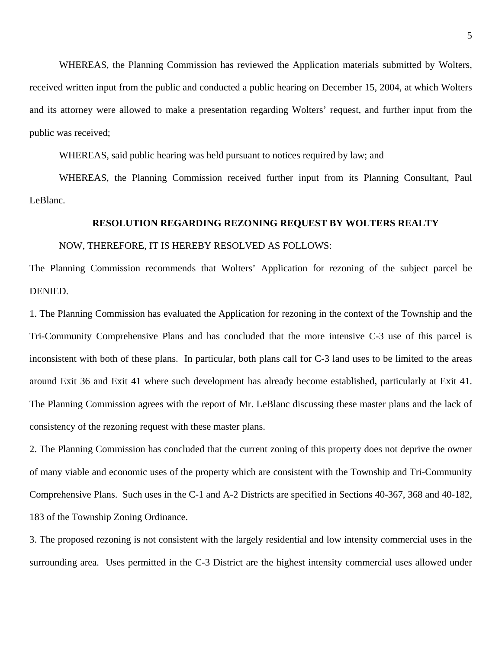WHEREAS, the Planning Commission has reviewed the Application materials submitted by Wolters, received written input from the public and conducted a public hearing on December 15, 2004, at which Wolters and its attorney were allowed to make a presentation regarding Wolters' request, and further input from the public was received;

WHEREAS, said public hearing was held pursuant to notices required by law; and

WHEREAS, the Planning Commission received further input from its Planning Consultant, Paul LeBlanc.

#### **RESOLUTION REGARDING REZONING REQUEST BY WOLTERS REALTY**

#### NOW, THEREFORE, IT IS HEREBY RESOLVED AS FOLLOWS:

The Planning Commission recommends that Wolters' Application for rezoning of the subject parcel be DENIED.

1. The Planning Commission has evaluated the Application for rezoning in the context of the Township and the Tri-Community Comprehensive Plans and has concluded that the more intensive C-3 use of this parcel is inconsistent with both of these plans. In particular, both plans call for C-3 land uses to be limited to the areas around Exit 36 and Exit 41 where such development has already become established, particularly at Exit 41. The Planning Commission agrees with the report of Mr. LeBlanc discussing these master plans and the lack of consistency of the rezoning request with these master plans.

2. The Planning Commission has concluded that the current zoning of this property does not deprive the owner of many viable and economic uses of the property which are consistent with the Township and Tri-Community Comprehensive Plans. Such uses in the C-1 and A-2 Districts are specified in Sections 40-367, 368 and 40-182, 183 of the Township Zoning Ordinance.

3. The proposed rezoning is not consistent with the largely residential and low intensity commercial uses in the surrounding area. Uses permitted in the C-3 District are the highest intensity commercial uses allowed under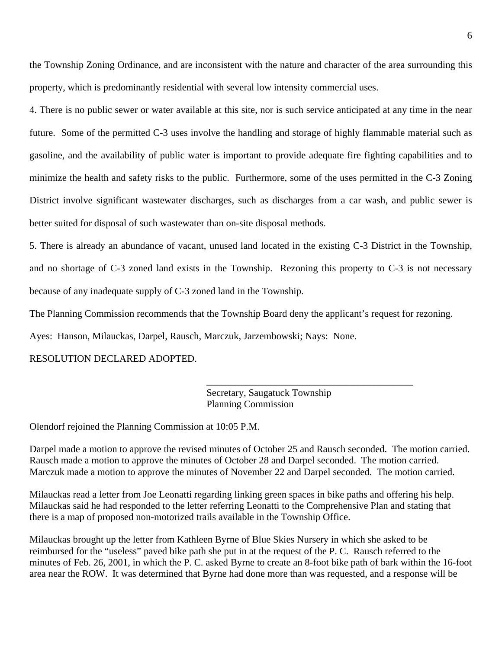the Township Zoning Ordinance, and are inconsistent with the nature and character of the area surrounding this property, which is predominantly residential with several low intensity commercial uses.

4. There is no public sewer or water available at this site, nor is such service anticipated at any time in the near future. Some of the permitted C-3 uses involve the handling and storage of highly flammable material such as gasoline, and the availability of public water is important to provide adequate fire fighting capabilities and to minimize the health and safety risks to the public. Furthermore, some of the uses permitted in the C-3 Zoning District involve significant wastewater discharges, such as discharges from a car wash, and public sewer is better suited for disposal of such wastewater than on-site disposal methods.

5. There is already an abundance of vacant, unused land located in the existing C-3 District in the Township, and no shortage of C-3 zoned land exists in the Township. Rezoning this property to C-3 is not necessary because of any inadequate supply of C-3 zoned land in the Township.

The Planning Commission recommends that the Township Board deny the applicant's request for rezoning.

 $\overline{\phantom{a}}$  , and the contract of the contract of the contract of the contract of the contract of the contract of the contract of the contract of the contract of the contract of the contract of the contract of the contrac

Ayes: Hanson, Milauckas, Darpel, Rausch, Marczuk, Jarzembowski; Nays: None.

RESOLUTION DECLARED ADOPTED.

 Secretary, Saugatuck Township Planning Commission

Olendorf rejoined the Planning Commission at 10:05 P.M.

Darpel made a motion to approve the revised minutes of October 25 and Rausch seconded. The motion carried. Rausch made a motion to approve the minutes of October 28 and Darpel seconded. The motion carried. Marczuk made a motion to approve the minutes of November 22 and Darpel seconded. The motion carried.

Milauckas read a letter from Joe Leonatti regarding linking green spaces in bike paths and offering his help. Milauckas said he had responded to the letter referring Leonatti to the Comprehensive Plan and stating that there is a map of proposed non-motorized trails available in the Township Office.

Milauckas brought up the letter from Kathleen Byrne of Blue Skies Nursery in which she asked to be reimbursed for the "useless" paved bike path she put in at the request of the P. C. Rausch referred to the minutes of Feb. 26, 2001, in which the P. C. asked Byrne to create an 8-foot bike path of bark within the 16-foot area near the ROW. It was determined that Byrne had done more than was requested, and a response will be